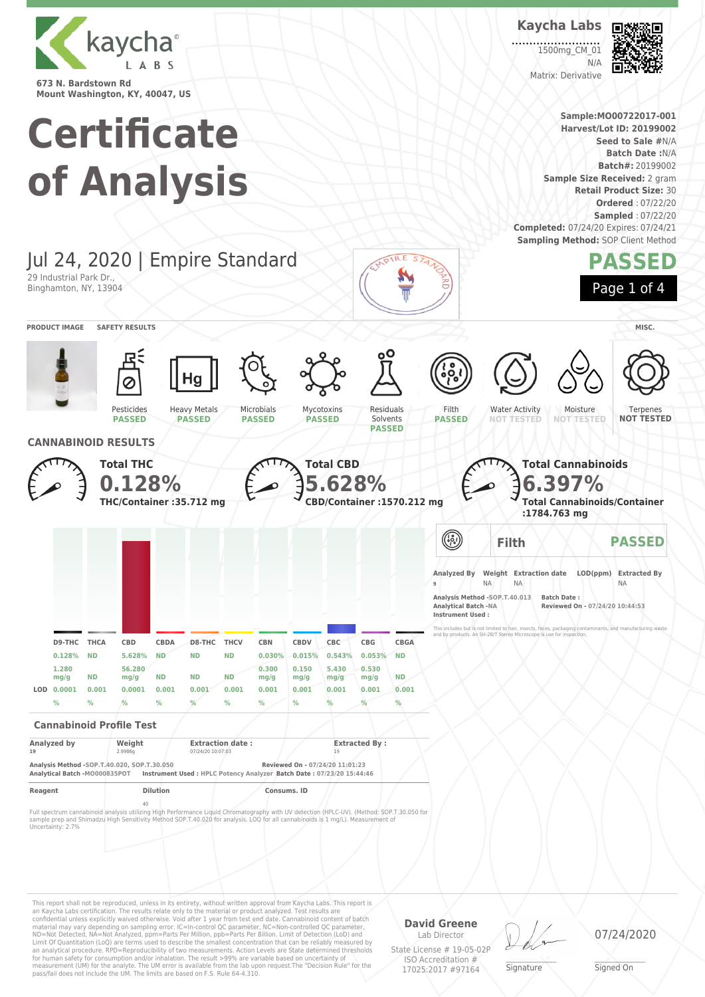

# **Certificate of Analysis**

**Kaycha Labs** 1500mg CM 01

Matrix: Derivative

N/A

**Sample:MO00722017-001 Harvest/Lot ID: 20199002 Seed to Sale #**N/A **Batch Date :**N/A **Batch#:** 20199002 **Sample Size Received:** 2 gram **Retail Product Size:** 30 **Ordered** : 07/22/20 **Sampled** : 07/22/20 **Completed:** 07/24/20 Expires: 07/24/21 **Sampling Method: SOP Client Method** 



This report shall not be reproduced, unless in its entirety, without written approval from Kaycha Labs. This report is an Kaycha Labs certification. The results relate only to the material or product analyzed. Test results are<br>confidential unless explicitly waived otherwise. Void after 1 year from test end date. Cannabinoid content of bat Limit Of Quantitation (LoQ) are terms used to describe the smallest concentration that can be reliably measured by an analytical procedure. RPD=Reproducibility of two measurements. Action Levels are State determined thresholds for human safety for consumption and/or inhalation. The result >99% are variable based on uncertainty of measurement (UM) for the analyte. The UM error is available from the lab upon request.The "Decision Rule" for the pass/fail does not include the UM. The limits are based on F.S. Rule 64-4.310.

**David Greene** Lab Director

State License # 19-05-02P ISO Accreditation # 17025:2017 #97164

\_\_\_\_\_\_\_\_\_\_\_\_\_\_\_\_\_\_\_ Signature

07/24/2020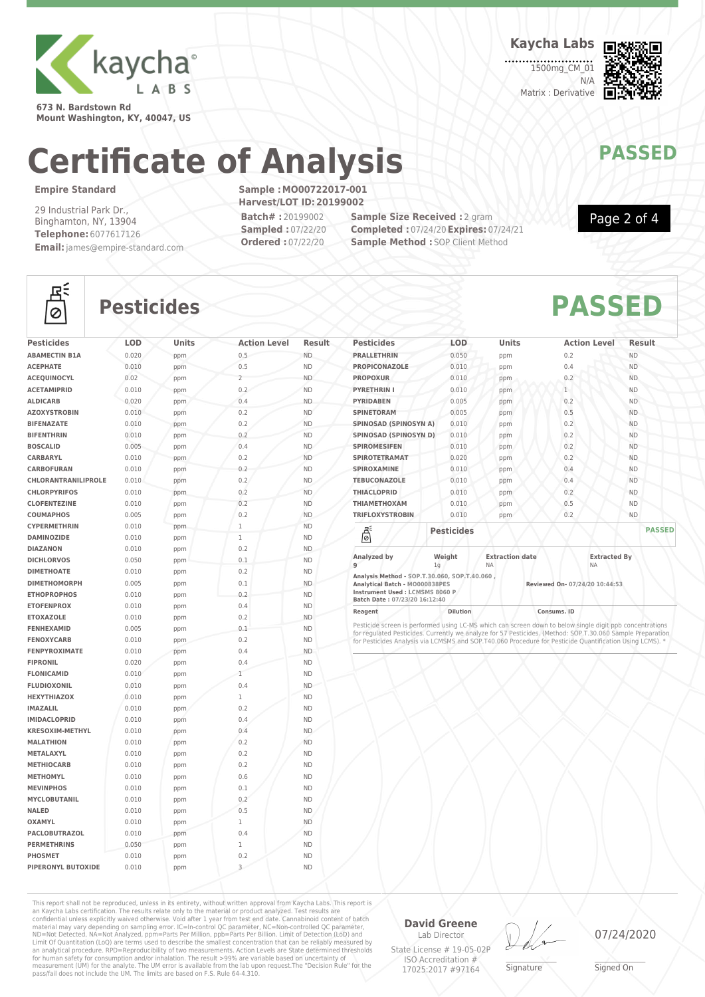

**673 N. Bardstown Rd Mount Washington, KY, 40047, US** **Kaycha Labs**

1500mg\_CM\_01 N/A Matrix : Derivative



Page 2 of 4

## **Certificate of Analysis MAYAY PASSED**

### **Empire Standard**

흲

29 Industrial Park Dr., Binghamton, NY, 13904 **Telephone:** 6077617126 **Email:**james@empire-standard.com **Sample :MO00722017-001 Harvest/LOT ID:20199002 Batch# :** 20199002

**Sampled :** 07/22/20 **Ordered :** 07/22/20

**Sample Size Received :** 2 gram **Completed :** 07/24/20**Expires:** 07/24/21 **Sample Method : SOP Client Method** 



| <b>Pesticides</b>          | <b>LOD</b> | Units | <b>Action Level</b> | Result    |
|----------------------------|------------|-------|---------------------|-----------|
| <b>ABAMECTIN B1A</b>       | 0.020      | ppm   | 0.5                 | <b>ND</b> |
| <b>ACEPHATE</b>            | 0.010      | ppm   | 0.5                 | <b>ND</b> |
| <b>ACEQUINOCYL</b>         | 0.02       | ppm   | $\overline{2}$      | <b>ND</b> |
| <b>ACETAMIPRID</b>         | 0.010      | ppm   | 0.2                 | <b>ND</b> |
| <b>ALDICARB</b>            | 0.020      | ppm   | 0.4                 | <b>ND</b> |
| <b>AZOXYSTROBIN</b>        | 0.010      | ppm   | 0.2                 | <b>ND</b> |
| <b>BIFENAZATE</b>          | 0.010      | ppm   | 0.2                 | <b>ND</b> |
| <b>BIFENTHRIN</b>          | 0.010      | ppm   | 0.2                 | <b>ND</b> |
| <b>BOSCALID</b>            | 0.005      | ppm   | 0.4                 | <b>ND</b> |
| CARBARYL                   | 0.010      | ppm   | 0.2                 | <b>ND</b> |
| <b>CARBOFURAN</b>          | 0.010      | ppm   | 0.2                 | <b>ND</b> |
| <b>CHLORANTRANILIPROLE</b> | 0.010      | ppm   | 0.2                 | <b>ND</b> |
| <b>CHLORPYRIFOS</b>        | 0.010      | ppm   | 0.2                 | <b>ND</b> |
| <b>CLOFENTEZINE</b>        | 0.010      | ppm   | 0.2                 | <b>ND</b> |
| <b>COUMAPHOS</b>           | 0.005      | ppm   | 0.2                 | <b>ND</b> |
| <b>CYPERMETHRIN</b>        | 0.010      | ppm   | $\mathbf{1}$        | <b>ND</b> |
| <b>DAMINOZIDE</b>          | 0.010      | ppm   | $\mathbf{1}$        | <b>ND</b> |
| <b>DIAZANON</b>            | 0.010      | ppm   | 0.2                 | <b>ND</b> |
| <b>DICHLORVOS</b>          | 0.050      | ppm   | 0.1                 | <b>ND</b> |
| <b>DIMETHOATE</b>          | 0.010      | ppm   | 0.2                 | <b>ND</b> |
| <b>DIMETHOMORPH</b>        | 0.005      | ppm   | 0.1                 | <b>ND</b> |
| <b>ETHOPROPHOS</b>         | 0.010      | ppm   | 0.2                 | <b>ND</b> |
| <b>ETOFENPROX</b>          | 0.010      | ppm   | 0.4                 | <b>ND</b> |
| <b>ETOXAZOLE</b>           | 0.010      | ppm   | 0.2                 | <b>ND</b> |
| <b>FENHEXAMID</b>          | 0.005      | ppm   | 0.1                 | <b>ND</b> |
| <b>FENOXYCARB</b>          | 0.010      | ppm   | 0.2                 | <b>ND</b> |
| <b>FENPYROXIMATE</b>       | 0.010      | ppm   | 0.4                 | <b>ND</b> |
| <b>FIPRONIL</b>            | 0.020      | ppm   | 0.4                 | <b>ND</b> |
| <b>FLONICAMID</b>          | 0.010      | ppm   | $\mathbf{1}$        | <b>ND</b> |
| <b>FLUDIOXONIL</b>         | 0.010      | ppm   | 0.4                 | <b>ND</b> |
| <b>HEXYTHIAZOX</b>         | 0.010      | ppm   | $\mathbf{1}$        | <b>ND</b> |
| <b>IMAZALIL</b>            | 0.010      | ppm   | 0.2                 | <b>ND</b> |
| <b>IMIDACLOPRID</b>        | 0.010      | ppm   | 0.4                 | <b>ND</b> |
| <b>KRESOXIM-METHYL</b>     | 0.010      | ppm   | 0.4                 | <b>ND</b> |
| <b>MALATHION</b>           | 0.010      | ppm   | 0.2                 | <b>ND</b> |
| METALAXYL                  | 0.010      | ppm   | 0.2                 | <b>ND</b> |
| <b>METHIOCARB</b>          | 0.010      | ppm   | 0.2                 | <b>ND</b> |
| <b>METHOMYL</b>            | 0.010      | ppm   | 0.6                 | <b>ND</b> |
| <b>MEVINPHOS</b>           | 0.010      | ppm   | 0.1                 | <b>ND</b> |
| <b>MYCLOBUTANIL</b>        | 0.010      | ppm   | 0.2                 | <b>ND</b> |
| <b>NALED</b>               | 0.010      | ppm   | 0.5                 | <b>ND</b> |
| <b>OXAMYL</b>              | 0.010      | ppm   | $\mathbf{1}$        | <b>ND</b> |
| <b>PACLOBUTRAZOL</b>       | 0.010      | ppm   | 0.4                 | <b>ND</b> |
| <b>PERMETHRINS</b>         | 0.050      | ppm   | $\mathbf{1}$        | <b>ND</b> |
| <b>PHOSMET</b>             | 0.010      | ppm   | 0.2                 | <b>ND</b> |
| <b>PIPERONYL BUTOXIDE</b>  | 0.010      | ppm   | 3                   | <b>ND</b> |

| <b>Pesticides</b>                           | LOD                      | <b>Units</b>                        | <b>Action Level</b>              | <b>Result</b> |
|---------------------------------------------|--------------------------|-------------------------------------|----------------------------------|---------------|
| <b>PRALLETHRIN</b>                          | 0.050                    | ppm                                 | 0.2                              | <b>ND</b>     |
| <b>PROPICONAZOLE</b>                        | 0.010                    | ppm                                 | 0.4                              | <b>ND</b>     |
| <b>PROPOXUR</b>                             | 0.010                    | ppm                                 | 0.2                              | <b>ND</b>     |
| <b>PYRETHRIN I</b>                          | 0.010                    | ppm                                 | $\mathbf{1}$                     | <b>ND</b>     |
| <b>PYRIDABEN</b>                            | 0.005                    | ppm                                 | 0.2                              | <b>ND</b>     |
| <b>SPINETORAM</b>                           | 0.005                    | ppm                                 | 0.5                              | <b>ND</b>     |
| <b>SPINOSAD (SPINOSYN A)</b>                | 0.010                    | ppm                                 | 0.2                              | <b>ND</b>     |
| SPINOSAD (SPINOSYN D)                       | 0.010                    | ppm                                 | 0.2                              | <b>ND</b>     |
| <b>SPIROMESIFEN</b>                         | 0.010                    | ppm                                 | 0.2                              | <b>ND</b>     |
| <b>SPIROTETRAMAT</b>                        | 0.020                    | ppm                                 | 0.2                              | <b>ND</b>     |
| <b>SPIROXAMINE</b>                          | 0.010                    | ppm                                 | 0.4                              | <b>ND</b>     |
| <b>TEBUCONAZOLE</b>                         | 0.010                    | ppm                                 | 0.4                              | <b>ND</b>     |
| <b>THIACLOPRID</b>                          | 0.010                    | ppm                                 | 0.2                              | <b>ND</b>     |
| <b><i>THIAMETHOXAM</i></b>                  | 0.010                    | ppm                                 | 0.5                              | <b>ND</b>     |
| <b>TRIFLOXYSTROBIN</b>                      | 0.010                    | ppm                                 | 0.2                              | <b>ND</b>     |
| 5                                           | <b>Pesticides</b>        |                                     |                                  | <b>PASSED</b> |
| Analyzed by<br>q                            | Weight<br>1 <sub>q</sub> | <b>Extraction date</b><br><b>NA</b> | <b>Extracted By</b><br><b>NA</b> |               |
| Analysis Method - SOP T 30 060 SOP T 40 060 |                          |                                     |                                  |               |

**Analysis Method - SOP.T.30.060, SOP.T.40.060 , Analytical Batch - MO000838PES Reviewed On- 07/24/20 10:44:53 Instrument Used : LCMSMS 8060 P Batch Date : 07/23/20 16:12:40**

**Reagent Dilution Consums. ID**

Pesticide screen is performed using LC-MS which can screen down to below single digit ppb concentrations<br>for regulated Pesticides. Currently we analyze for 57 Pesticides. (Method: SOP.T.30.060 Sample Preparation<br>for Pestic

This report shall not be reproduced, unless in its entirety, without written approval from Kaycha Labs. This report is an Kaycha Labs certification. The results relate only to the material or product analyzed. Test results are<br>confidential unless explicitly waived otherwise. Void after 1 year from test end date. Cannabinoid content of batc

**David Greene** Lab Director

State License # 19-05-02P ISO Accreditation # 17025:2017 #97164

\_\_\_\_\_\_\_\_\_\_\_\_\_\_\_\_\_\_\_ Signature

07/24/2020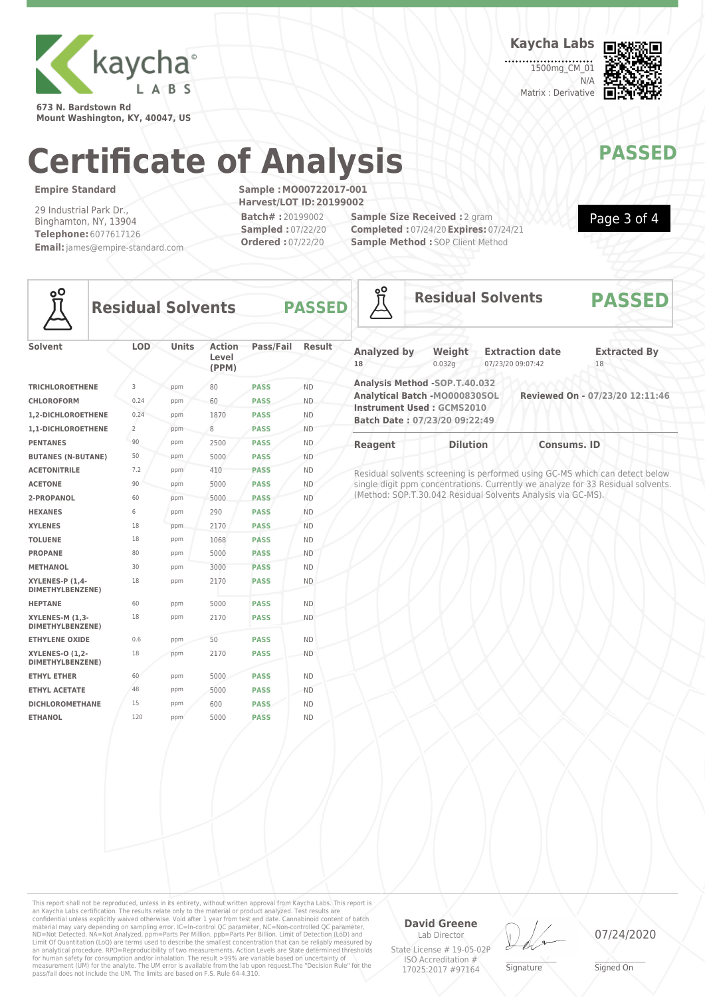

**673 N. Bardstown Rd Mount Washington, KY, 40047, US** **Kaycha Labs**

1500mg CM\_01  $N/L$ Matrix : Derivative



Page 3 of 4

## **Certificate of Analysis MAYAY PASSED**

### **Empire Standard**

29 Industrial Park Dr., Binghamton, NY, 13904 **Telephone:** 6077617126 **Email:**james@empire-standard.com **Sample :MO00722017-001 Harvest/LOT ID:20199002 Batch# :** 20199002 **Sampled :** 07/22/20 **Ordered :** 07/22/20

**Sample Size Received :** 2 gram **Completed :** 07/24/20**Expires:** 07/24/21 **Sample Method : SOP Client Method** 



**Residual Solvents PASS** 

| <b>Solvent</b>                                    | <b>LOD</b>     | <b>Units</b> | <b>Action</b><br>Level<br>(PPM) | Pass/Fail   | <b>Result</b> |
|---------------------------------------------------|----------------|--------------|---------------------------------|-------------|---------------|
| <b>TRICHLOROETHENE</b>                            | 3              | ppm          | 80                              | <b>PASS</b> | <b>ND</b>     |
| <b>CHLOROFORM</b>                                 | 0.24           | ppm          | 60                              | <b>PASS</b> | <b>ND</b>     |
| 1.2-DICHLOROETHENE                                | 0.24           | ppm          | 1870                            | <b>PASS</b> | <b>ND</b>     |
| 1,1-DICHLOROETHENE                                | $\overline{2}$ | ppm          | 8                               | <b>PASS</b> | <b>ND</b>     |
| <b>PENTANES</b>                                   | 90             | ppm          | 2500                            | <b>PASS</b> | <b>ND</b>     |
| <b>BUTANES (N-BUTANE)</b>                         | 50             | ppm          | 5000                            | <b>PASS</b> | <b>ND</b>     |
| <b>ACETONITRILE</b>                               | 7.2            | ppm          | 410                             | <b>PASS</b> | <b>ND</b>     |
| <b>ACETONE</b>                                    | 90             | ppm          | 5000                            | <b>PASS</b> | <b>ND</b>     |
| 2-PROPANOL                                        | 60             | ppm          | 5000                            | <b>PASS</b> | <b>ND</b>     |
| <b>HEXANES</b>                                    | 6              | ppm          | 290                             | <b>PASS</b> | <b>ND</b>     |
| <b>XYLENES</b>                                    | 18             | ppm          | 2170                            | <b>PASS</b> | <b>ND</b>     |
| <b>TOLUENE</b>                                    | 18             | ppm          | 1068                            | <b>PASS</b> | <b>ND</b>     |
| <b>PROPANE</b>                                    | 80             | ppm          | 5000                            | <b>PASS</b> | <b>ND</b>     |
| <b>METHANOL</b>                                   | 30             | ppm          | 3000                            | <b>PASS</b> | <b>ND</b>     |
| XYLENES-P (1,4-<br>DIMETHYLBENZENE)               | 18             | ppm          | 2170                            | <b>PASS</b> | <b>ND</b>     |
| <b>HEPTANE</b>                                    | 60             | ppm          | 5000                            | <b>PASS</b> | <b>ND</b>     |
| XYLENES-M (1,3-<br>DIMETHYLBENZENE)               | 18             | ppm          | 2170                            | <b>PASS</b> | <b>ND</b>     |
| <b>ETHYLENE OXIDE</b>                             | 0.6            | ppm          | 50                              | <b>PASS</b> | <b>ND</b>     |
| <b>XYLENES-O (1,2-</b><br><b>DIMETHYLBENZENE)</b> | 18             | ppm          | 2170                            | <b>PASS</b> | <b>ND</b>     |
| <b>ETHYL ETHER</b>                                | 60             | ppm          | 5000                            | <b>PASS</b> | <b>ND</b>     |
| <b>ETHYL ACETATE</b>                              | 48             | ppm          | 5000                            | <b>PASS</b> | <b>ND</b>     |
| <b>DICHLOROMETHANE</b>                            | 15             | ppm          | 600                             | <b>PASS</b> | <b>ND</b>     |
| <b>ETHANOL</b>                                    | 120            | ppm          | 5000                            | <b>PASS</b> | <b>ND</b>     |

| Reagent            | <b>Dilution</b>                  | <b>Consums, ID</b>     |                                 |  |
|--------------------|----------------------------------|------------------------|---------------------------------|--|
|                    | Batch Date: 07/23/20 09:22:49    |                        |                                 |  |
|                    | <b>Instrument Used: GCMS2010</b> |                        |                                 |  |
|                    | Analytical Batch -M0000830SOL    |                        | Reviewed On - 07/23/20 12:11:46 |  |
|                    | Analysis Method -SOP.T.40.032    |                        |                                 |  |
| 18                 | 0.032q                           | 07/23/20 09:07:42      | 18                              |  |
| <b>Analyzed by</b> | Weight                           | <b>Extraction date</b> | <b>Extracted By</b>             |  |
|                    |                                  |                        |                                 |  |
|                    |                                  |                        |                                 |  |

**Residual Solvents PASSED**

Residual solvents screening is performed using GC-MS which can detect below single digit ppm concentrations. Currently we analyze for 33 Residual solvents. (Method: SOP.T.30.042 Residual Solvents Analysis via GC-MS).

This report shall not be reproduced, unless in its entirety, without written approval from Kaycha Labs. This report is an Kaycha Labs certification. The results relate only to the material or product analyzed. Test results are<br>confidential unless explicitly waived otherwise. Void after 1 year from test end date. Cannabinoid content of batc an analytical procedure. RPD=Reproducibility of two measurements. Action Levels are State determined thresholds<br>for human safety for consumption and/or inhalation. The result >99% are variable based on uncertainty of<br>measu

**David Greene** Lab Director

State License # 19-05-02P ISO Accreditation # 17025:2017 #97164

\_\_\_\_\_\_\_\_\_\_\_\_\_\_\_\_\_\_\_ Signature

07/24/2020